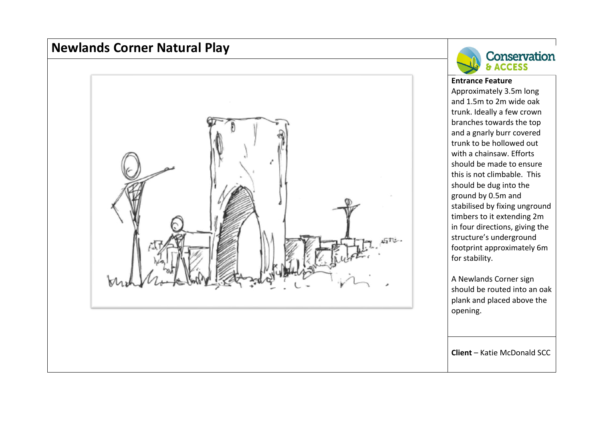# **Newlands Corner Natural Play**





#### **Entrance Feature**

Approximately 3.5m long and 1.5m to 2m wide oak trunk. Ideally <sup>a</sup> few crown branches towards the top and <sup>a</sup> gnarly burr covered trunk to be hollowed out with <sup>a</sup> chainsaw. Efforts should be made to ensure this is not climbable. This should be dug into the ground by 0.5m and stabilised by fixing unground timbers to it extending 2m in four directions, giving the structure's underground footprint approximately 6m for stability.

A Newlands Corner sign should be routed into an oak plank and placed above the opening.

**Client** – Katie McDonald SCC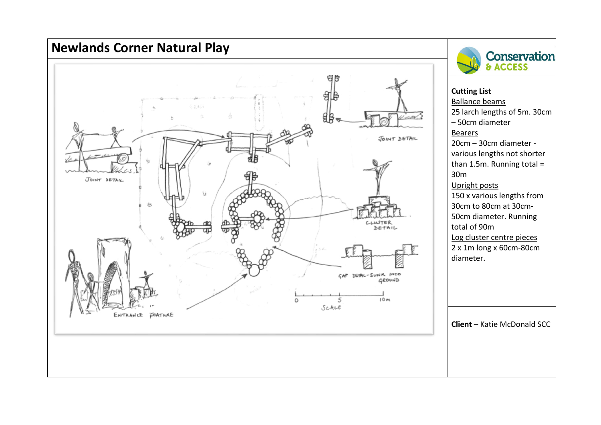



Ballance beams

25 larch lengths of 5m. 30cm – 50cm diameter Bearers 20cm – 30cm diameter ‐ various lengths not shorter than 1.5m. Running total <sup>=</sup> 30mUpright posts 150 <sup>x</sup> various lengths from 30cm to 80cm at 30cm‐ 50cm diameter. Running total of 90mLog cluster centre pieces 2 <sup>x</sup> 1m long <sup>x</sup> 60cm‐80cm diameter.

**Client** – Katie McDonald SCC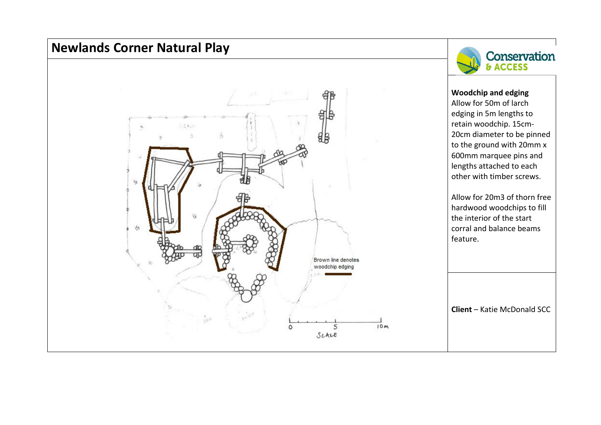# **Newlands Corner Natural Play**

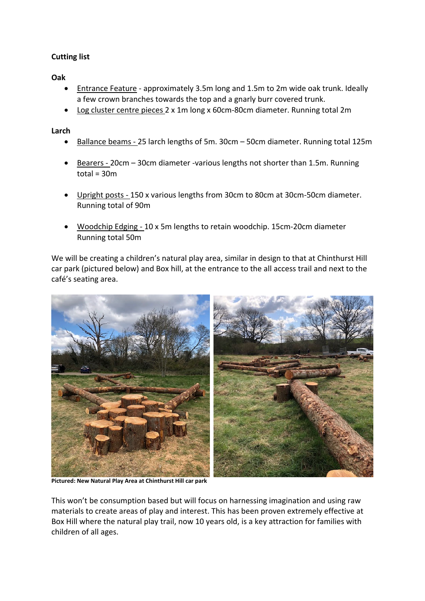## **Cutting list**

### **Oak**

- Entrance Feature ‐ approximately 3.5m long and 1.5m to 2m wide oak trunk. Ideally a few crown branches towards the top and a gnarly burr covered trunk.
- Log cluster centre pieces 2 x 1m long x 60cm‐80cm diameter. Running total 2m

### **Larch**

- Ballance beams 25 larch lengths of 5m. 30cm 50cm diameter. Running total 125m
- Bearers 20cm 30cm diameter -various lengths not shorter than 1.5m. Running  $total = 30m$
- Upright posts ‐ 150 x various lengths from 30cm to 80cm at 30cm‐50cm diameter. Running total of 90m
- Woodchip Edging ‐ 10 x 5m lengths to retain woodchip. 15cm‐20cm diameter Running total 50m

We will be creating a children's natural play area, similar in design to that at Chinthurst Hill car park (pictured below) and Box hill, at the entrance to the all access trail and next to the café's seating area.



**Pictured: New Natural Play Area at Chinthurst Hill car park**

This won't be consumption based but will focus on harnessing imagination and using raw materials to create areas of play and interest. This has been proven extremely effective at Box Hill where the natural play trail, now 10 years old, is a key attraction for families with children of all ages.